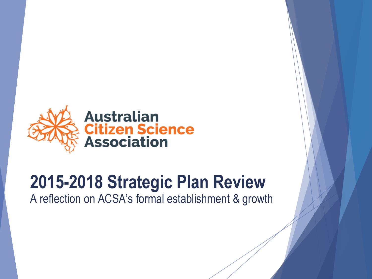

# **2015-2018 Strategic Plan Review**

A reflection on ACSA's formal establishment & growth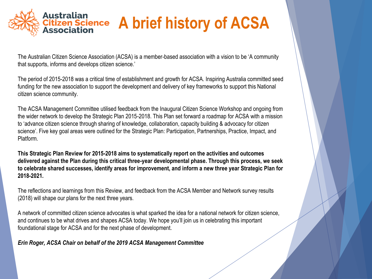

# **A brief history of ACSA**

The Australian Citizen Science Association (ACSA) is a member-based association with a vision to be 'A community that supports, informs and develops citizen science.'

The period of 2015-2018 was a critical time of establishment and growth for ACSA. Inspiring Australia committed seed funding for the new association to support the development and delivery of key frameworks to support this National citizen science community.

The ACSA Management Committee utilised feedback from the Inaugural Citizen Science Workshop and ongoing from the wider network to develop the Strategic Plan 2015-2018. This Plan set forward a roadmap for ACSA with a mission to 'advance citizen science through sharing of knowledge, collaboration, capacity building & advocacy for citizen science'. Five key goal areas were outlined for the Strategic Plan: Participation, Partnerships, Practice, Impact, and Platform.

**This Strategic Plan Review for 2015-2018 aims to systematically report on the activities and outcomes delivered against the Plan during this critical three-year developmental phase. Through this process, we seek to celebrate shared successes, identify areas for improvement, and inform a new three year Strategic Plan for 2018-2021.** 

The reflections and learnings from this Review, and feedback from the ACSA Member and Network survey results (2018) will shape our plans for the next three years.

A network of committed citizen science advocates is what sparked the idea for a national network for citizen science, and continues to be what drives and shapes ACSA today. We hope you'll join us in celebrating this important foundational stage for ACSA and for the next phase of development.

## *Erin Roger, ACSA Chair on behalf of the 2019 ACSA Management Committee*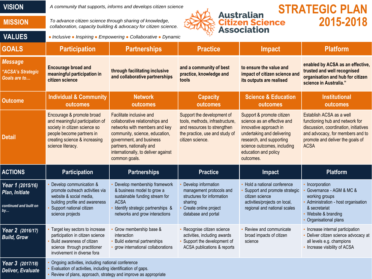| <b>VISION</b> |
|---------------|
|---------------|

*A community that supports, informs and develops citizen science.*

**MISSION** *To advance citizen science through sharing of knowledge, collaboration, capacity building & advocacy for citizen science.*

**VALUES** ● *Inclusive* ● *Inspiring* ● *Empowering* ● *Collaborative* ● *Dynamic*



## **STRATEGIC PLAN 2015-2018**

**GOALS Participation Partnerships Practice Impact Platform** *Message "ACSA's Strategic Goals are to…* **Encourage broad and meaningful participation in citizen science through facilitating inclusive and collaborative partnerships and a community of best practice, knowledge and tools to ensure the value and impact of citizen science and its outputs are realised enabled by ACSA as an effective, trusted and well recognised organisation and hub for citizen science in Australia." Outcome Individual & Community outcomes Network outcomes Capacity outcomes Science & Education outcomes Institutional outcomes Detail** Encourage & promote broad and meaningful participation of society in citizen science so people become partners in creating science & increasing science literacy. Facilitate inclusive and collaborative relationships and networks with members and key community, science, education, government, and business partners, nationally and internationally, to deliver against common goals. Support the development of tools, methods, infrastructure, and resources to strengthen the practice, use and study of citizen science. Support & promote citizen science as an effective and innovative approach in undertaking and delivering research, and supporting science outcomes, including education and policy outcomes. Establish ACSA as a well functioning hub and network for discussion, coordination, initiatives and advocacy, for members and to promote and deliver the goals of ACSA **ACTIONS Participation Partnerships Practice Impact Platform** *Year 1 (2015/16) Plan, Initiate continued and built on by…* • Develop communication & promote outreach activities via website & social media, building profile and awareness Support national citizen science projects • Develop membership framework & business model to grow a sustainable funding stream for ACSA • Identify strategic partnerships & networks and grow interactions • Develop information management protocols and structures for information sharing Create online project database and portal • Hold a national conference Support and promote strategic citizen science activities/projects on local, regional and national scales **Incorporation** • Governance - AGM & MC & working groups • Administration - host organisation & secretariat Website & branding • Organisational plans *Year 2 (2016/17) Build, Grow* • Target key sectors to increase participation in citizen science • Build awareness of citizen science through practitioner involvement in diverse fora • Grow membership base & interaction • Build external partnerships • grow international collaborations Recognise citizen science activities, including awards • Support the development of ACSA publications & reports • Review and communicate broad impacts of citizen science • Increase internal participation • Deliver citizen science advocacy at all levels e.g. champions • Increase visibility of ACSA *Year 3 (2017/18) Deliver, Evaluate* • Ongoing activities, including national conference • Evaluation of activities, including identification of gaps. • Review of plans, approach, strategy and improve as appropriate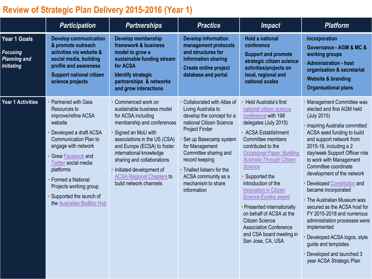## **Review of Strategic Plan Delivery 2015-2016 (Year 1)**

|                                                                             | <b>Participation</b>                                                                                                                                                                                                                                                                                                                    | <b>Partnerships</b>                                                                                                                                                                                                                                                                                                                           | <b>Practice</b>                                                                                                                                                                                                                                                                                                         | <b>Impact</b>                                                                                                                                                                                                                                                                                                                                                                                                                                                                                                                         | <b>Platform</b>                                                                                                                                                                                                                                                                                                                                                                                                                                                                                                                                                                                                                 |
|-----------------------------------------------------------------------------|-----------------------------------------------------------------------------------------------------------------------------------------------------------------------------------------------------------------------------------------------------------------------------------------------------------------------------------------|-----------------------------------------------------------------------------------------------------------------------------------------------------------------------------------------------------------------------------------------------------------------------------------------------------------------------------------------------|-------------------------------------------------------------------------------------------------------------------------------------------------------------------------------------------------------------------------------------------------------------------------------------------------------------------------|---------------------------------------------------------------------------------------------------------------------------------------------------------------------------------------------------------------------------------------------------------------------------------------------------------------------------------------------------------------------------------------------------------------------------------------------------------------------------------------------------------------------------------------|---------------------------------------------------------------------------------------------------------------------------------------------------------------------------------------------------------------------------------------------------------------------------------------------------------------------------------------------------------------------------------------------------------------------------------------------------------------------------------------------------------------------------------------------------------------------------------------------------------------------------------|
| Year 1 Goals<br><b>Focusing</b><br><b>Planning and</b><br><b>Initiating</b> | <b>Develop communication</b><br>& promote outreach<br>activities via website &<br>social media, building<br>profile and awareness<br><b>Support national citizen</b><br>science projects                                                                                                                                                | Develop membership<br>framework & business<br>model to grow a<br>sustainable funding stream<br>for ACSA<br><b>Identify strategic</b><br>partnerships & networks<br>and grow interactions                                                                                                                                                      | <b>Develop information</b><br>management protocols<br>and structures for<br>information sharing<br><b>Create online project</b><br>database and portal                                                                                                                                                                  | <b>Hold a national</b><br>conference<br><b>Support and promote</b><br>strategic citizen science<br>activities/projects on<br>local, regional and<br>national scales                                                                                                                                                                                                                                                                                                                                                                   | Incorporation<br>Governance - AGM & MC &<br>working groups<br><b>Administration - host</b><br>organisation & secretariat<br><b>Website &amp; branding</b><br><b>Organisational plans</b>                                                                                                                                                                                                                                                                                                                                                                                                                                        |
| Year 1 Activities                                                           | Partnered with Gaia<br>Resources to<br>improve/refine ACSA<br>website<br>Developed a draft ACSA<br><b>Communication Plan to</b><br>engage with network<br>Grew <b>Facebook</b> and<br><b>Twitter</b> social media<br>platforms<br>Formed a National<br>Projects working group<br>Supported the launch of<br>the Australian BioBlitz Hub | • Commenced work on<br>sustainable business model<br>for ACSA including<br>membership and conferences<br>Signed an MoU with<br>associations in the US (CSA)<br>and Europe (ECSA) to foster<br>international knowledge<br>sharing and collaborations<br>Initiated development of<br><b>ACSA Regional Chapters to</b><br>build network channels | • Collaborated with Atlas of<br>Living Australia to<br>develop the concept for a<br>national Citizen Science<br><b>Project Finder</b><br>Set up Basecamp system<br>for Management<br>Committee sharing and<br>record keeping<br>• Trialled listserv for the<br>ACSA community as a<br>mechanism to share<br>information | Held Australia's first<br>national citizen science<br>conference with 198<br>delegates (July 2015)<br>• ACSA Establishment<br>Committee members<br>contributed to the<br><b>Occasional Paper: Building</b><br><b>Australia Through Citizen</b><br><b>Science</b><br>Supported the<br>introduction of the<br><b>Innovation in Citizen</b><br>Science Eureka award<br>Presented internationally<br>on behalf of ACSA at the<br><b>Citizen Science</b><br><b>Association Conference</b><br>and CSA board meeting in<br>San Jose, CA, USA | • Management Committee was<br>elected and first AGM held<br>(July 2015)<br>• Inspiring Australia committed<br>ACSA seed funding to build<br>and support network from<br>2015-18, including a 2<br>day/week Support Officer role<br>to work with Management<br>Committee coordinate<br>development of the network<br>Developed Constitution and<br>became incorporated<br>• The Australian Museum was<br>secured as the ACSA host for<br>FY 2015-2018 and numerous<br>administration processes were<br>implemented<br>Developed ACSA logos, style<br>guide and templates<br>Developed and launched 3<br>year ACSA Strategic Plan |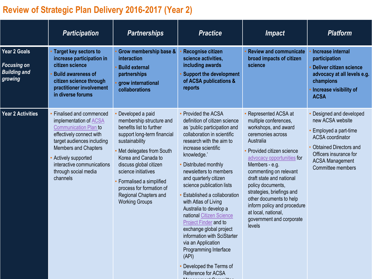## **Review of Strategic Plan Delivery 2016-2017 (Year 2)**

|                                                                      | <b>Participation</b>                                                                                                                                                                                                                                                      | <b>Partnerships</b>                                                                                                                                                                                                                                                                                                                    | <b>Practice</b>                                                                                                                                                                                                                                                                                                                                                                                                                                                                                                                                                                                      | <i><b>Impact</b></i>                                                                                                                                                                                                                                                                                                                                                                                              | <b>Platform</b>                                                                                                                                                                                         |
|----------------------------------------------------------------------|---------------------------------------------------------------------------------------------------------------------------------------------------------------------------------------------------------------------------------------------------------------------------|----------------------------------------------------------------------------------------------------------------------------------------------------------------------------------------------------------------------------------------------------------------------------------------------------------------------------------------|------------------------------------------------------------------------------------------------------------------------------------------------------------------------------------------------------------------------------------------------------------------------------------------------------------------------------------------------------------------------------------------------------------------------------------------------------------------------------------------------------------------------------------------------------------------------------------------------------|-------------------------------------------------------------------------------------------------------------------------------------------------------------------------------------------------------------------------------------------------------------------------------------------------------------------------------------------------------------------------------------------------------------------|---------------------------------------------------------------------------------------------------------------------------------------------------------------------------------------------------------|
| Year 2 Goals<br><b>Focusing on</b><br><b>Building and</b><br>growing | <b>Target key sectors to</b><br>increase participation in<br>citizen science<br><b>Build awareness of</b><br>citizen science through<br>practitioner involvement<br>in diverse forums                                                                                     | Grow membership base &<br>interaction<br><b>Build external</b><br>partnerships<br>grow international<br>collaborations                                                                                                                                                                                                                 | Recognise citizen<br>science activities,<br>including awards<br><b>Support the development</b><br>of ACSA publications &<br>reports                                                                                                                                                                                                                                                                                                                                                                                                                                                                  | <b>Review and communicate</b><br>broad impacts of citizen<br>science                                                                                                                                                                                                                                                                                                                                              | <b>Increase internal</b><br>participation<br><b>Deliver citizen science</b><br>advocacy at all levels e.g.<br>champions<br>Increase visibility of<br><b>ACSA</b>                                        |
| Year 2 Activities                                                    | Finalised and commenced<br>implementation of <b>ACSA</b><br><b>Communication Plan to</b><br>effectively connect with<br>target audiences including<br><b>Members and Chapters</b><br>Actively supported<br>interactive communications<br>through social media<br>channels | Developed a paid<br>membership structure and<br>benefits list to further<br>support long-term financial<br>sustainability<br>Met delegates from South<br>Korea and Canada to<br>discuss global citizen<br>science initiatives<br>Formalised a simplified<br>process for formation of<br>Regional Chapters and<br><b>Working Groups</b> | • Provided the ACSA<br>definition of citizen science<br>as 'public participation and<br>collaboration in scientific<br>research with the aim to<br>increase scientific<br>knowledge.'<br>Distributed monthly<br>newsletters to members<br>and quarterly citizen<br>science publication lists<br>Established a collaboration<br>with Atlas of Living<br>Australia to develop a<br>national Citizen Science<br>Project Finder and to<br>exchange global project<br>information with SciStarter<br>via an Application<br>Programming Interface<br>(API)<br>Developed the Terms of<br>Reference for ACSA | Represented ACSA at<br>multiple conferences,<br>workshops, and award<br>ceremonies across<br>Australia<br>Provided citizen science<br>advocacy opportunities for<br>Members - e.g.<br>commenting on relevant<br>draft state and national<br>policy documents,<br>strategies, briefings and<br>other documents to help<br>inform policy and procedure<br>at local, national,<br>government and corporate<br>levels | Designed and developed<br>new ACSA website<br>Employed a part-time<br><b>ACSA</b> coordinator<br><b>Obtained Directors and</b><br>Officers insurance for<br><b>ACSA Management</b><br>Committee members |

Management  $\bigcap_{n=1}^{\infty}$  and  $\bigcap_{n=1}^{\infty}$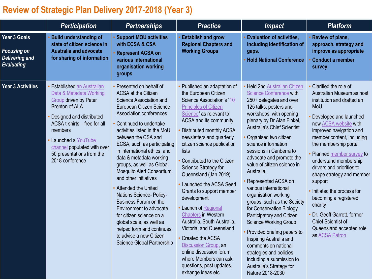## **Review of Strategic Plan Delivery 2017-2018 (Year 3)**

|                                                                                         | <b>Participation</b>                                                                                                                                                                                                                                                                      | <b>Partnerships</b>                                                                                                                                                                                                                                                                                                                                                                                                                                                                                                                                                                                                                                        | <b>Practice</b>                                                                                                                                                                                                                                                                                                                                                                                                                                                                                                                                                                                                                                                                                  | <b>Impact</b>                                                                                                                                                                                                                                                                                                                                                                                                                                                                                                                                                                                                                                                                                                                                                           | <b>Platform</b>                                                                                                                                                                                                                                                                                                                                                                                                                                                                                                                |
|-----------------------------------------------------------------------------------------|-------------------------------------------------------------------------------------------------------------------------------------------------------------------------------------------------------------------------------------------------------------------------------------------|------------------------------------------------------------------------------------------------------------------------------------------------------------------------------------------------------------------------------------------------------------------------------------------------------------------------------------------------------------------------------------------------------------------------------------------------------------------------------------------------------------------------------------------------------------------------------------------------------------------------------------------------------------|--------------------------------------------------------------------------------------------------------------------------------------------------------------------------------------------------------------------------------------------------------------------------------------------------------------------------------------------------------------------------------------------------------------------------------------------------------------------------------------------------------------------------------------------------------------------------------------------------------------------------------------------------------------------------------------------------|-------------------------------------------------------------------------------------------------------------------------------------------------------------------------------------------------------------------------------------------------------------------------------------------------------------------------------------------------------------------------------------------------------------------------------------------------------------------------------------------------------------------------------------------------------------------------------------------------------------------------------------------------------------------------------------------------------------------------------------------------------------------------|--------------------------------------------------------------------------------------------------------------------------------------------------------------------------------------------------------------------------------------------------------------------------------------------------------------------------------------------------------------------------------------------------------------------------------------------------------------------------------------------------------------------------------|
| <b>Year 3 Goals</b><br><b>Focusing on</b><br><b>Delivering and</b><br><b>Evaluating</b> | <b>Build understanding of</b><br>state of citizen science in<br><b>Australia and advocate</b><br>for sharing of information                                                                                                                                                               | <b>Support MOU activities</b><br>with ECSA & CSA<br><b>Represent ACSA on</b><br>various international<br>organisation working<br>groups                                                                                                                                                                                                                                                                                                                                                                                                                                                                                                                    | <b>Establish and grow</b><br><b>Regional Chapters and</b><br><b>Working Groups</b>                                                                                                                                                                                                                                                                                                                                                                                                                                                                                                                                                                                                               | <b>Evaluation of activities,</b><br>including identification of<br>gaps.<br><b>Hold National Conference</b>                                                                                                                                                                                                                                                                                                                                                                                                                                                                                                                                                                                                                                                             | Review of plans,<br>approach, strategy and<br>improve as appropriate<br><b>Conduct a member</b><br>survey                                                                                                                                                                                                                                                                                                                                                                                                                      |
| Year 3 Activities                                                                       | <b>Established an Australian</b><br>Data & Metadata Working<br>Group driven by Peter<br><b>Brenton of ALA</b><br>Designed and distributed<br>ACSA t-shirts - free for all<br>members<br>Launched a YouTube<br>channel populated with over<br>50 presentations from the<br>2018 conference | Presented on behalf of<br><b>ACSA at the Citizen</b><br>Science Association and<br>European Citizen Science<br>Association conferences<br>Continued to undertake<br>activities listed in the MoU<br>between the CSA and<br>ECSA, such as participating<br>in international ethics, and<br>data & metadata working<br>groups, as well as Global<br>Mosquito Alert Consortium,<br>and other initiatives<br>Attended the United<br>Nations Science- Policy-<br>Business Forum on the<br>Environment to advocate<br>for citizen science on a<br>global scale, as well as<br>helped form and continues<br>to advise a new Citizen<br>Science Global Partnership | Published an adaptation of<br>the European Citizen<br>Science Association's "10<br><b>Principles of Citizen</b><br>Science" as relevant to<br>ACSA and its community<br>Distributed monthly ACSA<br>newsletters and quarterly<br>citizen science publication<br>lists<br>Contributed to the Citizen<br>Science Strategy for<br>Queensland (Jan 2019)<br>Launched the ACSA Seed<br>Grants to support member<br>development<br><b>Launch of Regional</b><br><b>Chapters in Western</b><br>Australia, South Australia,<br>Victoria, and Queensland<br>Created the ACSA<br>Discussion Group, an<br>online discussion forum<br>where Members can ask<br>questions, post updates,<br>exhange ideas etc | <b>Held 2nd Australian Citizen</b><br><b>Science Conference with</b><br>250+ delegates and over<br>125 talks, posters and<br>workshops, with opening<br>plenary by Dr Alan Finkel,<br><b>Australia's Chief Scientist</b><br>Organised two citizen<br>science information<br>sessions in Canberra to<br>advocate and promote the<br>value of citizen science in<br>Australia.<br>Represented ACSA on<br>various international<br>organisation working<br>groups, such as the Society<br>for Conservation Biology<br>Participatory and Citizen<br><b>Science Working Group</b><br>Provided briefing papers to<br>Inspiring Australia and<br>comments on national<br>strategies and policies,<br>including a submission to<br>Australia's Strategy for<br>Nature 2018-2030 | Clarified the role of<br>Australian Museum as host<br>institution and drafted an<br>MoU<br>Developed and launched<br>new ACSA website with<br>improved navigation and<br>member content, including<br>the membership portal<br>Planned member survey to<br>understand membership<br>drivers and priorities to<br>shape strategy and member<br>support<br>Initiated the process for<br>becoming a registered<br>charity<br>Dr. Geoff Garrett, former<br><b>Chief Scientist of</b><br>Queensland accepted role<br>as ACSA Patron |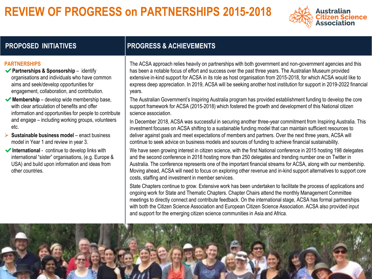## **REVIEW OF PROGRESS on PARTNERSHIPS 2015-2018**



## **PROPOSED INITIATIVES PROGRESS & ACHIEVEMENTS**

### **PARTNERSHIPS**

- ✔**Partnerships & Sponsorship**  identify organisations and individuals who have common aims and seek/develop opportunities for engagement, collaboration, and contribution.
- ◆ Membership develop wide membership base, with clear articulation of benefits and offer information and opportunities for people to contribute and engage – including working groups, volunteers etc.
- **► Sustainable business model** enact business model in Year 1 and review in year 3.
- ✔**International** continue to develop links with international "sister" organisations, (e.g. Europe & USA) and build upon information and ideas from other countries.

The ACSA approach relies heavily on partnerships with both government and non-government agencies and this has been a notable focus of effort and success over the past three years. The Australian Museum provided extensive in-kind support for ACSA in its role as host organisation from 2015-2018, for which ACSA would like to express deep appreciation. In 2019, ACSA will be seeking another host institution for support in 2019-2022 financial years.

The Australian Government's Inspiring Australia program has provided establishment funding to develop the core support framework for ACSA (2015-2018) which fostered the growth and development of this National citizen science association.

In December 2018, ACSA was successful in securing another three-year commitment from Inspiring Australia. This investment focuses on ACSA shifting to a sustainable funding model that can maintain sufficient resources to deliver against goals and meet expectations of members and partners. Over the next three years, ACSA will continue to seek advice on business models and sources of funding to achieve financial sustainability.

We have seen growing interest in citizen science, with the first National conference in 2015 hosting 198 delegates and the second conference in 2018 hosting more than 250 delegates and trending number one on Twitter in Australia. The conference represents one of the important financial streams for ACSA, along with our membership. Moving ahead, ACSA will need to focus on exploring other revenue and in-kind support alternatives to support core costs, staffing and investment in member services.

State Chapters continue to grow. Extensive work has been undertaken to facilitate the process of applications and ongoing work for State and Thematic Chapters. Chapter Chairs attend the monthly Management Committee meetings to directly connect and contribute feedback. On the international stage, ACSA has formal partnerships with both the Citizen Science Association and European Citizen Science Association. ACSA also provided input and support for the emerging citizen science communities in Asia and Africa.

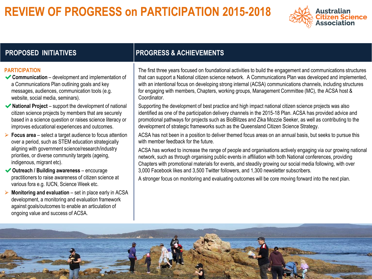## **REVIEW OF PROGRESS on PARTICIPATION 2015-2018**



### **PARTICIPATION**

- ✔**Communication**  development and implementation of a Communications Plan outlining goals and key messages, audiences, communication tools (e.g. website, social media, seminars).
- ◆ **National Project** support the development of national citizen science projects by members that are securely based in a science question or raises science literacy or improves educational experiences and outcomes.
- **► Focus area** select a target audience to focus attention over a period, such as STEM education strategically aligning with government science/research/industry priorities, or diverse community targets (ageing, indigenous, migrant etc).
- ✔**Outreach / Building awareness**  encourage practitioners to raise awareness of citizen science at various fora e.g. IUCN, Science Week etc.
- **Monitoring and evaluation** set in place early in ACSA development, a monitoring and evaluation framework against goals/outcomes to enable an articulation of ongoing value and success of ACSA.

## **PROPOSED INITIATIVES PROGRESS & ACHIEVEMENTS**

The first three years focused on foundational activities to build the engagement and communications structures that can support a National citizen science network. A Communications Plan was developed and implemented, with an intentional focus on developing strong internal (ACSA) communications channels, including structures for engaging with members, Chapters, working groups, Management Committee (MC), the ACSA host & Coordinator.

Supporting the development of best practice and high impact national citizen science projects was also identified as one of the participation delivery channels in the 2015-18 Plan. ACSA has provided advice and promotional pathways for projects such as BioBlitzes and Zika Mozzie Seeker, as well as contributing to the development of strategic frameworks such as the Queensland Citizen Science Strategy.

ACSA has not been in a position to deliver themed focus areas on an annual basis, but seeks to pursue this with member feedback for the future.

ACSA has worked to increase the range of people and organisations actively engaging via our growing national network, such as through organising public events in affiliation with both National conferences, providing Chapters with promotional materials for events, and steadily growing our social media following, with over 3,000 Facebook likes and 3,500 Twitter followers, and 1,300 newsletter subscribers.

A stronger focus on monitoring and evaluating outcomes will be core moving forward into the next plan.

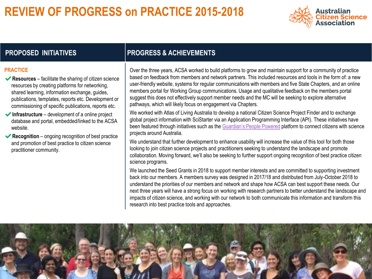## **REVIEW OF PROGRESS on PRACTICE 2015-2018**



## **PROPOSED INITIATIVES PROGRESS & ACHIEVEMENTS**

### **PRACTICE**

- ✔**Resources** facilitate the sharing of citizen science resources by creating platforms for networking, shared learning, information exchange, guides, publications, templates, reports etc. Development or commissioning of specific publications, reports etc.
- ✔**Infrastructure** development of a online project database and portal, embedded/linked to the ACSA website.
- ✔**Recognition** ongoing recognition of best practice and promotion of best practice to citizen science practitioner community.

Over the three years, ACSA worked to build platforms to grow and maintain support for a community of practice based on feedback from members and network partners. This included resources and tools in the form of: a new user-friendly website, systems for regular communications with members and five State Chapters, and an online members portal for Working Group communications. Usage and qualitative feedback on the members portal suggest this does not effectively support member needs and the MC will be seeking to explore alternative pathways, which will likely focus on engagement via Chapters.

We worked with Atlas of Living Australia to develop a national Citizen Science Project Finder and to exchange global project information with SciStarter via an Application Programming Interface (API). These initiatives have been featured through initiatives such as the [Guardian's People Powered](https://www.theguardian.com/environment/ng-interactive/2018/aug/06/people-powered) platform to connect citizens with science projects around Australia.

We understand that further development to enhance usability will increase the value of this tool for both those looking to join citizen science projects and practitioners seeking to understand the landscape and promote collaboration. Moving forward, we'll also be seeking to further support ongoing recognition of best practice citizen science programs.

We launched the Seed Grants in 2018 to support member interests and are committed to supporting investment back into our members. A members survey was designed in 2017/18 and distributed from July-October 2018 to understand the priorities of our members and network and shape how ACSA can best support these needs. Our next three years will have a strong focus on working with research partners to better understand the landscape and impacts of citizen science, and working with our network to both communicate this information and transform this research into best practice tools and approaches.

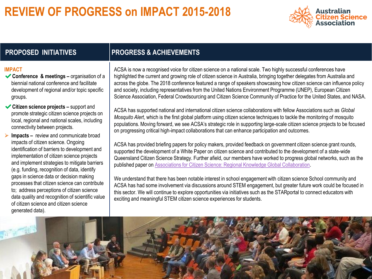## **REVIEW OF PROGRESS on IMPACT 2015-2018**



## **PROPOSED INITIATIVES PROGRESS & ACHIEVEMENTS**

### **IMPACT**

- ◆ **Conference & meetings** organisation of a biennial national conference and facilitate development of regional and/or topic specific groups.
- ✔**Citizen science projects –** support and promote strategic citizen science projects on local, regional and national scales, including connectivity between projects.
- **► Impacts –** review and communicate broad impacts of citizen science. Ongoing identification of barriers to development and implementation of citizen science projects and implement strategies to mitigate barriers (e.g. funding, recognition of data, identify gaps in science data or decision making processes that citizen science can contribute to; address perceptions of citizen science data quality and recognition of scientific value of citizen science and citizen science generated data).

ACSA is now a recognised voice for citizen science on a national scale. Two highly successful conferences have highlighted the current and growing role of citizen science in Australia, bringing together delegates from Australia and across the globe. The 2018 conference featured a range of speakers showcasing how citizen science can influence policy and society, including representatives from the United Nations Environment Programme (UNEP), European Citizen Science Association, Federal Crowdsourcing and Citizen Science Community of Practice for the United States, and NASA.

ACSA has supported national and international citizen science collaborations with fellow Associations such as *Global Mosquito Alert*, which is the first global platform using citizen science techniques to tackle the monitoring of mosquito populations. Moving forward, we see ACSA's strategic role in supporting large-scale citizen science projects to be focused on progressing critical high-impact collaborations that can enhance participation and outcomes.

ACSA has provided briefing papers for policy makers, provided feedback on government citizen science grant rounds, supported the development of a White Paper on citizen science and contributed to the development of a state-wide Queensland Citizen Science Strategy. Further afield, our members have worked to progress global networks, such as the published paper on [Associations for Citizen Science: Regional Knowledge Global Collaboration.](https://theoryandpractice.citizenscienceassociation.org/articles/10.5334/cstp.55/)

We understand that there has been notable interest in school engagement with citizen science School community and ACSA has had some involvement via discussions around STEM engagement, but greater future work could be focused in this sector. We will continue to explore opportunities via initiatives such as the STARportal to connect educators with exciting and meaningful STEM citizen science experiences for students.

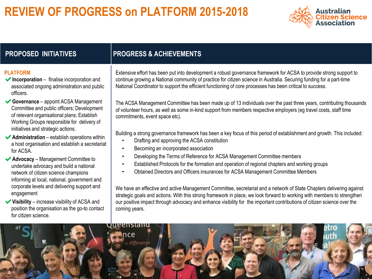## **REVIEW OF PROGRESS on PLATFORM 2015-2018**



## **PLATFORM**

- ✔**Incorporation** finalise incorporation and associated ongoing administration and public officers.
- ✔**Governance**  appoint ACSA Management Committee and public officers; Development of relevant organisational plans; Establish Working Groups responsible for delivery of initiatives and strategic actions.
- **◆ Administration** establish operations within a host organisation and establish a secretariat for ACSA.
- ✔**Advocacy**  Management Committee to undertake advocacy and build a national network of citizen science champions informing at local, national, government and corporate levels and delivering support and engagement
- ✔**Visibility**  increase visibility of ACSA and position the organisation as the go-to contact for citizen science.

## **PROPOSED INITIATIVES PROGRESS & ACHIEVEMENTS**

Extensive effort has been put into development a robust governance framework for ACSA to provide strong support to continue growing a National community of practice for citizen science in Australia. Securing funding for a part-time National Coordinator to support the efficient functioning of core processes has been critical to success.

The ACSA Management Committee has been made up of 13 individuals over the past three years, contributing thousands of volunteer hours, as well as some in-kind support from members respective employers (eg travel costs, staff time commitments, event space etc).

Building a strong governance framework has been a key focus of this period of establishment and growth. This included:

- Drafting and approving the ACSA constitution
- Becoming an incorporated association
- Developing the Terms of Reference for ACSA Management Committee members
- Established Protocols for the formation and operation of regional chapters and working groups
- Obtained Directors and Officers insurances for ACSA Management Committee Members

We have an effective and active Management Committee, secretariat and a network of State Chapters delivering against strategic goals and actions. With this strong framework in place, we look forward to working with members to strengthen our positive impact through advocacy and enhance visibility for the important contributions of citizen science over the coming years.

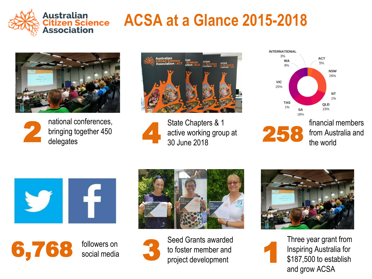

# **ACSA at a Glance 2015-2018**





national conferences, bringing together 450<br>delegates



State Chapters & 1 active working group at 30 June 2018



financial members 258 from Australia and the world









Seed Grants awarded to foster member and<br>project development



Three year grant from Inspiring Australia for \$187,500 to establish and grow ACSA 1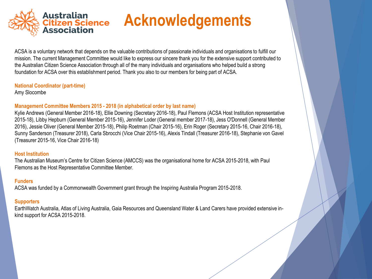

# **Acknowledgements**

ACSA is a voluntary network that depends on the valuable contributions of passionate individuals and organisations to fulfill our mission. The current Management Committee would like to express our sincere thank you for the extensive support contributed to the Australian Citizen Science Association through all of the many individuals and organisations who helped build a strong foundation for ACSA over this establishment period. Thank you also to our members for being part of ACSA.

### **National Coordinator (part-time)**

Amy Slocombe

## **Management Committee Members 2015 - 2018 (in alphabetical order by last name)**

Kylie Andrews (General Member 2016-18), Ellie Downing (Secretary 2016-18), Paul Flemons (ACSA Host Institution representative 2015-18), Libby Hepburn (General Member 2015-16), Jennifer Loder (General member 2017-18), Jess O'Donnell (General Member 2016), Jessie Oliver (General Member 2015-18), Philip Roetman (Chair 2015-16), Erin Roger (Secretary 2015-16, Chair 2016-18), Sunny Sanderson (Treasurer 2018), Carla Sbrocchi (Vice Chair 2015-16), Alexis Tindall (Treasurer 2016-18), Stephanie von Gavel (Treasurer 2015-16, Vice Chair 2016-18)

### **Host Institution**

The Australian Museum's Centre for Citizen Science (AMCCS) was the organisational home for ACSA 2015-2018, with Paul Flemons as the Host Representative Committee Member.

## **Funders**

ACSA was funded by a Commonwealth Government grant through the Inspiring Australia Program 2015-2018.

## **Supporters**

EarthWatch Australia, Atlas of Living Australia, Gaia Resources and Queensland Water & Land Carers have provided extensive inkind support for ACSA 2015-2018.